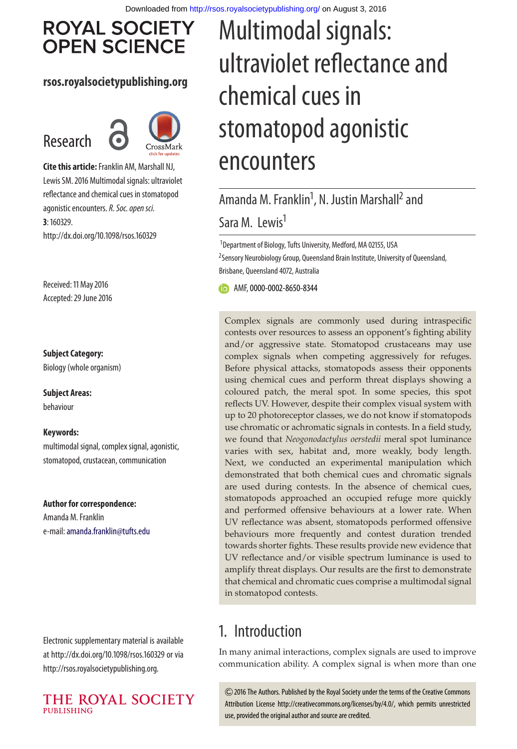## **ROYAL SOCIETY OPEN SCIENCE**

#### **rsos.royalsocietypublishing.org**

# Research



**Cite this article:**Franklin AM, Marshall NJ, Lewis SM. 2016 Multimodal signals: ultraviolet reflectance and chemical cues in stomatopod agonistic encounters. R. Soc. open sci. **3**: 160329. http://dx.doi.org/10.1098/rsos.160329

Received: 11 May 2016 Accepted: 29 June 2016

**Subject Category:**

Biology (whole organism)

**Subject Areas:** behaviour

**Keywords:**

multimodal signal, complex signal, agonistic, stomatopod, crustacean, communication

#### **Author for correspondence:**

Amanda M. Franklin e-mail:[amanda.franklin@tufts.edu](mailto:amanda.franklin@tufts.edu)

Electronic supplementary material is available at http://dx.doi.org/10.1098/rsos.160329 or via http://rsos.royalsocietypublishing.org.



# Multimodal signals: ultraviolet reflectance and chemical cues in stomatopod agonistic encounters

### Amanda M. Franklin<sup>1</sup>, N. Justin Marshall<sup>2</sup> and

Sara M. Lewis<sup>1</sup>

<sup>1</sup>Department of Biology, Tufts University, Medford, MA 02155, USA <sup>2</sup> Sensory Neurobiology Group, Queensland Brain Institute, University of Queensland, Brisbane, Queensland 4072, Australia

**CD** AMF, [0000-0002-8650-8344](http://orcid.org/0000-0002-8650-8344)

Complex signals are commonly used during intraspecific contests over resources to assess an opponent's fighting ability and/or aggressive state. Stomatopod crustaceans may use complex signals when competing aggressively for refuges. Before physical attacks, stomatopods assess their opponents using chemical cues and perform threat displays showing a coloured patch, the meral spot. In some species, this spot reflects UV. However, despite their complex visual system with up to 20 photoreceptor classes, we do not know if stomatopods use chromatic or achromatic signals in contests. In a field study, we found that *Neogonodactylus oerstedii* meral spot luminance varies with sex, habitat and, more weakly, body length. Next, we conducted an experimental manipulation which demonstrated that both chemical cues and chromatic signals are used during contests. In the absence of chemical cues, stomatopods approached an occupied refuge more quickly and performed offensive behaviours at a lower rate. When UV reflectance was absent, stomatopods performed offensive behaviours more frequently and contest duration trended towards shorter fights. These results provide new evidence that UV reflectance and/or visible spectrum luminance is used to amplify threat displays. Our results are the first to demonstrate that chemical and chromatic cues comprise a multimodal signal in stomatopod contests.

### 1. Introduction

In many animal interactions, complex signals are used to improve communication ability. A complex signal is when more than one

2016 The Authors. Published by the Royal Society under the terms of the Creative Commons Attribution License http://creativecommons.org/licenses/by/4.0/, which permits unrestricted use, provided the original author and source are credited.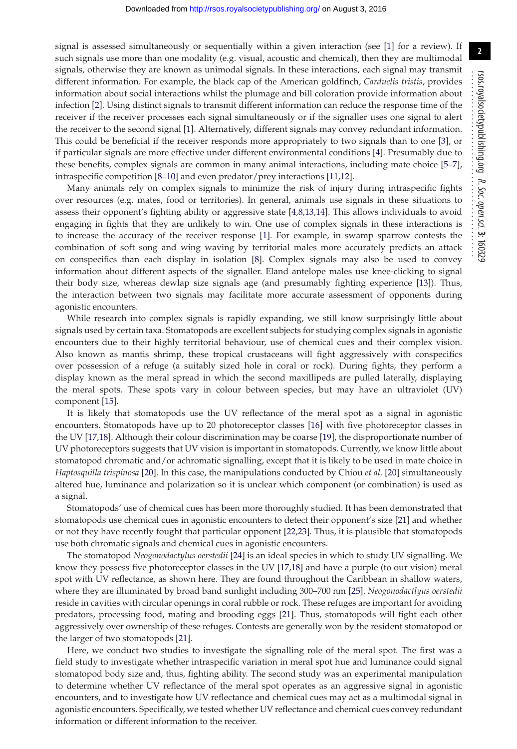signal is assessed simultaneously or sequentially within a given interaction (see [\[1\]](#page-11-0) for a review). If such signals use more than one modality (e.g. visual, acoustic and chemical), then they are multimodal signals, otherwise they are known as unimodal signals. In these interactions, each signal may transmit different information. For example, the black cap of the American goldfinch, *Carduelis tristis*, provides information about social interactions whilst the plumage and bill coloration provide information about infection [\[2\]](#page-11-1). Using distinct signals to transmit different information can reduce the response time of the receiver if the receiver processes each signal simultaneously or if the signaller uses one signal to alert the receiver to the second signal [\[1\]](#page-11-0). Alternatively, different signals may convey redundant information. This could be beneficial if the receiver responds more appropriately to two signals than to one [\[3\]](#page-11-2), or if particular signals are more effective under different environmental conditions [\[4\]](#page-11-3). Presumably due to these benefits, complex signals are common in many animal interactions, including mate choice [\[5–](#page-11-4)[7\]](#page-11-5), intraspecific competition [\[8–](#page-11-6)[10\]](#page-11-7) and even predator/prey interactions [\[11,](#page-11-8)[12\]](#page-11-9).

Many animals rely on complex signals to minimize the risk of injury during intraspecific fights over resources (e.g. mates, food or territories). In general, animals use signals in these situations to assess their opponent's fighting ability or aggressive state [\[4](#page-11-3)[,8,](#page-11-6)[13](#page-11-10)[,14\]](#page-11-11). This allows individuals to avoid engaging in fights that they are unlikely to win. One use of complex signals in these interactions is to increase the accuracy of the receiver response [\[1\]](#page-11-0). For example, in swamp sparrow contests the combination of soft song and wing waving by territorial males more accurately predicts an attack on conspecifics than each display in isolation [\[8\]](#page-11-6). Complex signals may also be used to convey information about different aspects of the signaller. Eland antelope males use knee-clicking to signal their body size, whereas dewlap size signals age (and presumably fighting experience [\[13\]](#page-11-10)). Thus, the interaction between two signals may facilitate more accurate assessment of opponents during agonistic encounters.

While research into complex signals is rapidly expanding, we still know surprisingly little about signals used by certain taxa. Stomatopods are excellent subjects for studying complex signals in agonistic encounters due to their highly territorial behaviour, use of chemical cues and their complex vision. Also known as mantis shrimp, these tropical crustaceans will fight aggressively with conspecifics over possession of a refuge (a suitably sized hole in coral or rock). During fights, they perform a display known as the meral spread in which the second maxillipeds are pulled laterally, displaying the meral spots. These spots vary in colour between species, but may have an ultraviolet (UV) component [\[15\]](#page-11-12).

It is likely that stomatopods use the UV reflectance of the meral spot as a signal in agonistic encounters. Stomatopods have up to 20 photoreceptor classes [\[16\]](#page-11-13) with five photoreceptor classes in the UV [\[17,](#page-11-14)[18\]](#page-11-15). Although their colour discrimination may be coarse [\[19\]](#page-11-16), the disproportionate number of UV photoreceptors suggests that UV vision is important in stomatopods. Currently, we know little about stomatopod chromatic and/or achromatic signalling, except that it is likely to be used in mate choice in *Haptosquilla trispinosa* [\[20\]](#page-11-17). In this case, the manipulations conducted by Chiou *et al*. [\[20\]](#page-11-17) simultaneously altered hue, luminance and polarization so it is unclear which component (or combination) is used as a signal.

Stomatopods' use of chemical cues has been more thoroughly studied. It has been demonstrated that stomatopods use chemical cues in agonistic encounters to detect their opponent's size [\[21\]](#page-12-0) and whether or not they have recently fought that particular opponent [\[22,](#page-12-1)[23\]](#page-12-2). Thus, it is plausible that stomatopods use both chromatic signals and chemical cues in agonistic encounters.

The stomatopod *Neogonodactylus oerstedii* [\[24\]](#page-12-3) is an ideal species in which to study UV signalling. We know they possess five photoreceptor classes in the UV [\[17](#page-11-14)[,18\]](#page-11-15) and have a purple (to our vision) meral spot with UV reflectance, as shown here. They are found throughout the Caribbean in shallow waters, where they are illuminated by broad band sunlight including 300–700 nm [\[25\]](#page-12-4). *Neogonodactlyus oerstedii* reside in cavities with circular openings in coral rubble or rock. These refuges are important for avoiding predators, processing food, mating and brooding eggs [\[21\]](#page-12-0). Thus, stomatopods will fight each other aggressively over ownership of these refuges. Contests are generally won by the resident stomatopod or the larger of two stomatopods [\[21\]](#page-12-0).

Here, we conduct two studies to investigate the signalling role of the meral spot. The first was a field study to investigate whether intraspecific variation in meral spot hue and luminance could signal stomatopod body size and, thus, fighting ability. The second study was an experimental manipulation to determine whether UV reflectance of the meral spot operates as an aggressive signal in agonistic encounters, and to investigate how UV reflectance and chemical cues may act as a multimodal signal in agonistic encounters. Specifically, we tested whether UV reflectance and chemical cues convey redundant information or different information to the receiver.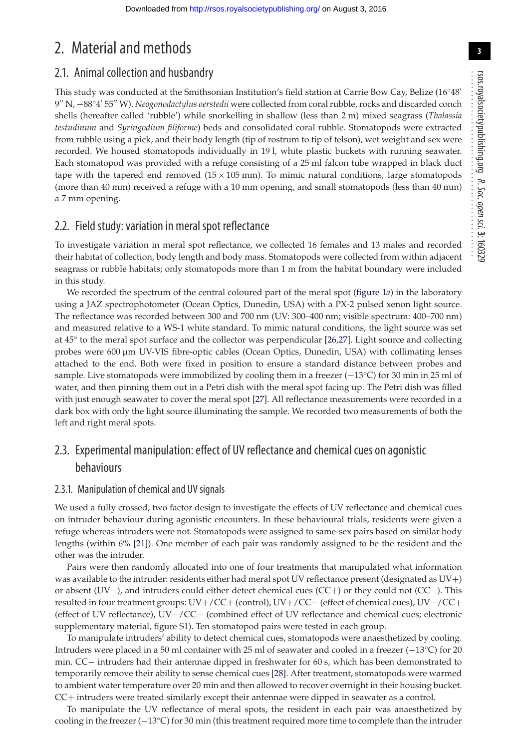### 2. Material and methods

#### 2.1. Animal collection and husbandry

This study was conducted at the Smithsonian Institution's field station at Carrie Bow Cay, Belize (16°48- 9" N, −88°4' 55" W). *Neogonodactylus oerstedii w*ere collected from coral rubble, rocks and discarded conch shells (hereafter called 'rubble') while snorkelling in shallow (less than 2 m) mixed seagrass (*Thalassia testudinum* and *Syringodium filiforme*) beds and consolidated coral rubble. Stomatopods were extracted from rubble using a pick, and their body length (tip of rostrum to tip of telson), wet weight and sex were recorded. We housed stomatopods individually in 19 l, white plastic buckets with running seawater. Each stomatopod was provided with a refuge consisting of a 25 ml falcon tube wrapped in black duct tape with the tapered end removed  $(15 \times 105 \text{ mm})$ . To mimic natural conditions, large stomatopods (more than 40 mm) received a refuge with a 10 mm opening, and small stomatopods (less than 40 mm) a 7 mm opening.

#### 2.2. Field study: variation in meral spot reflectance

To investigate variation in meral spot reflectance, we collected 16 females and 13 males and recorded their habitat of collection, body length and body mass. Stomatopods were collected from within adjacent seagrass or rubble habitats; only stomatopods more than 1 m from the habitat boundary were included in this study.

We recorded the spectrum of the central coloured part of the meral spot [\(figure 1](#page-3-0)*a*) in the laboratory using a JAZ spectrophotometer (Ocean Optics, Dunedin, USA) with a PX-2 pulsed xenon light source. The reflectance was recorded between 300 and 700 nm (UV: 300–400 nm; visible spectrum: 400–700 nm) and measured relative to a WS-1 white standard. To mimic natural conditions, the light source was set at 45° to the meral spot surface and the collector was perpendicular [\[26,](#page-12-5)[27\]](#page-12-6). Light source and collecting probes were 600 µm UV-VIS fibre-optic cables (Ocean Optics, Dunedin, USA) with collimating lenses attached to the end. Both were fixed in position to ensure a standard distance between probes and sample. Live stomatopods were immobilized by cooling them in a freezer (−13°C) for 30 min in 25 ml of water, and then pinning them out in a Petri dish with the meral spot facing up. The Petri dish was filled with just enough seawater to cover the meral spot [\[27\]](#page-12-6). All reflectance measurements were recorded in a dark box with only the light source illuminating the sample. We recorded two measurements of both the left and right meral spots.

#### 2.3. Experimental manipulation: effect of UV reflectance and chemical cues on agonistic behaviours

#### 2.3.1. Manipulation of chemical and UV signals

We used a fully crossed, two factor design to investigate the effects of UV reflectance and chemical cues on intruder behaviour during agonistic encounters. In these behavioural trials, residents were given a refuge whereas intruders were not. Stomatopods were assigned to same-sex pairs based on similar body lengths (within 6% [\[21\]](#page-12-0)). One member of each pair was randomly assigned to be the resident and the other was the intruder.

Pairs were then randomly allocated into one of four treatments that manipulated what information was available to the intruder: residents either had meral spot UV reflectance present (designated as UV+) or absent (UV−), and intruders could either detect chemical cues (CC+) or they could not (CC−). This resulted in four treatment groups: UV+/CC+ (control), UV+/CC− (effect of chemical cues), UV−/CC+ (effect of UV reflectance), UV−/CC− (combined effect of UV reflectance and chemical cues; electronic supplementary material, figure S1). Ten stomatopod pairs were tested in each group.

To manipulate intruders' ability to detect chemical cues, stomatopods were anaesthetized by cooling. Intruders were placed in a 50 ml container with 25 ml of seawater and cooled in a freezer (−13°C) for 20 min. CC− intruders had their antennae dipped in freshwater for 60 s, which has been demonstrated to temporarily remove their ability to sense chemical cues [\[28\]](#page-12-7). After treatment, stomatopods were warmed to ambient water temperature over 20 min and then allowed to recover overnight in their housing bucket. CC+ intruders were treated similarly except their antennae were dipped in seawater as a control.

To manipulate the UV reflectance of meral spots, the resident in each pair was anaesthetized by cooling in the freezer (−13°C) for 30 min (this treatment required more time to complete than the intruder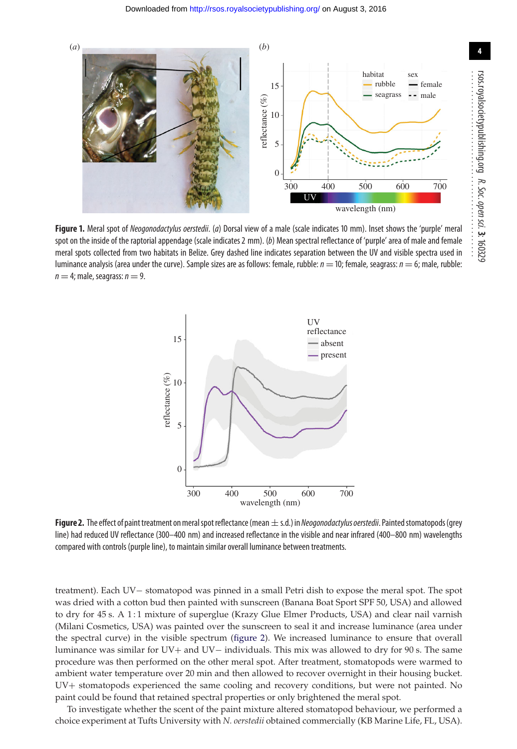

<span id="page-3-0"></span>Figure 1. Meral spot of Neogonodactylus oerstedii. (a) Dorsal view of a male (scale indicates 10 mm). Inset shows the 'purple' meral spot on the inside of the raptorial appendage (scale indicates 2 mm). (b) Mean spectral reflectance of 'purple' area of male and female meral spots collected from two habitats in Belize. Grey dashed line indicates separation between the UV and visible spectra used in luminance analysis (area under the curve). Sample sizes are as follows: female, rubble:  $n = 10$ ; female, seagrass:  $n = 6$ ; male, rubble:  $n = 4$ ; male, seagrass:  $n = 9$ .



<span id="page-3-1"></span>**Figure 2.** The effect of paint treatment on meral spot reflectance (mean  $\pm$  s.d.) in Neogonodactylus oerstedii. Painted stomatopods (grey line) had reduced UV reflectance (300–400 nm) and increased reflectance in the visible and near infrared (400–800 nm) wavelengths compared with controls (purple line), to maintain similar overall luminance between treatments.

treatment). Each UV− stomatopod was pinned in a small Petri dish to expose the meral spot. The spot was dried with a cotton bud then painted with sunscreen (Banana Boat Sport SPF 50, USA) and allowed to dry for 45 s. A 1 : 1 mixture of superglue (Krazy Glue Elmer Products, USA) and clear nail varnish (Milani Cosmetics, USA) was painted over the sunscreen to seal it and increase luminance (area under the spectral curve) in the visible spectrum [\(figure 2\)](#page-3-1). We increased luminance to ensure that overall luminance was similar for UV+ and UV− individuals. This mix was allowed to dry for 90 s. The same procedure was then performed on the other meral spot. After treatment, stomatopods were warmed to ambient water temperature over 20 min and then allowed to recover overnight in their housing bucket. UV+ stomatopods experienced the same cooling and recovery conditions, but were not painted. No paint could be found that retained spectral properties or only brightened the meral spot.

To investigate whether the scent of the paint mixture altered stomatopod behaviour, we performed a choice experiment at Tufts University with *N. oerstedii* obtained commercially (KB Marine Life, FL, USA).

R. Soc.

................................................

open

sci. **3**: 160329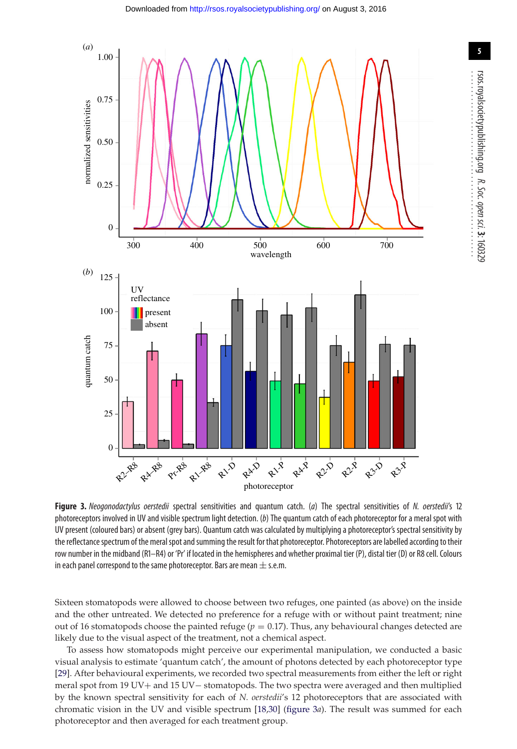

<span id="page-4-0"></span>**Figure 3.** Neogonodactylus oerstedii spectral sensitivities and quantum catch. (a) The spectral sensitivities of N. oerstedii's 12 photoreceptors involved in UV and visible spectrum light detection. (b) The quantum catch of each photoreceptor for a meral spot with UV present (coloured bars) or absent (grey bars). Quantum catch was calculated by multiplying a photoreceptor's spectral sensitivity by the reflectance spectrum of the meral spot and summing the result for that photoreceptor. Photoreceptors are labelled according to their row number in the midband (R1–R4) or 'Pr' if located in the hemispheres and whether proximal tier (P), distal tier (D) or R8 cell. Colours in each panel correspond to the same photoreceptor. Bars are mean  $\pm$  s.e.m.

Sixteen stomatopods were allowed to choose between two refuges, one painted (as above) on the inside and the other untreated. We detected no preference for a refuge with or without paint treatment; nine out of 16 stomatopods choose the painted refuge ( $p = 0.17$ ). Thus, any behavioural changes detected are likely due to the visual aspect of the treatment, not a chemical aspect.

To assess how stomatopods might perceive our experimental manipulation, we conducted a basic visual analysis to estimate 'quantum catch', the amount of photons detected by each photoreceptor type [\[29\]](#page-12-8). After behavioural experiments, we recorded two spectral measurements from either the left or right meral spot from 19 UV+ and 15 UV- stomatopods. The two spectra were averaged and then multiplied by the known spectral sensitivity for each of *N. oerstedii*'s 12 photoreceptors that are associated with chromatic vision in the UV and visible spectrum [\[18](#page-11-15)[,30\]](#page-12-9) [\(figure 3](#page-4-0)*a*). The result was summed for each photoreceptor and then averaged for each treatment group.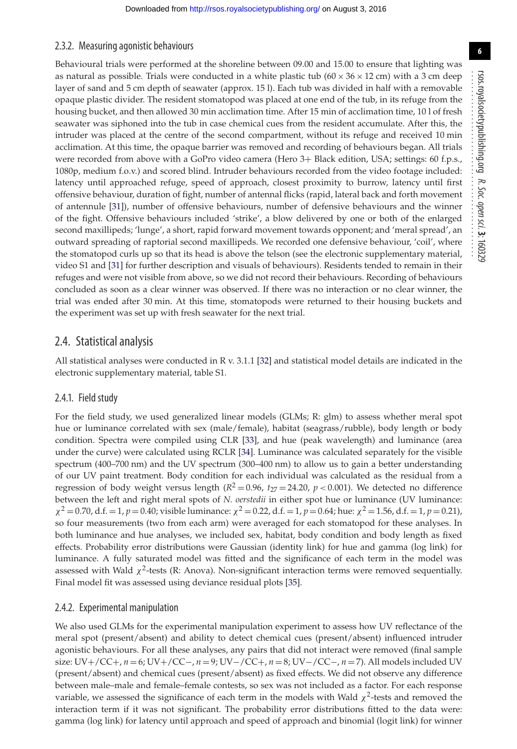#### 2.3.2. Measuring agonistic behaviours

Behavioural trials were performed at the shoreline between 09.00 and 15.00 to ensure that lighting was as natural as possible. Trials were conducted in a white plastic tub  $(60 \times 36 \times 12 \text{ cm})$  with a 3 cm deep layer of sand and 5 cm depth of seawater (approx. 15 l). Each tub was divided in half with a removable opaque plastic divider. The resident stomatopod was placed at one end of the tub, in its refuge from the housing bucket, and then allowed 30 min acclimation time. After 15 min of acclimation time, 10 l of fresh seawater was siphoned into the tub in case chemical cues from the resident accumulate. After this, the intruder was placed at the centre of the second compartment, without its refuge and received 10 min acclimation. At this time, the opaque barrier was removed and recording of behaviours began. All trials were recorded from above with a GoPro video camera (Hero 3+ Black edition, USA; settings: 60 f.p.s., 1080p, medium f.o.v.) and scored blind. Intruder behaviours recorded from the video footage included: latency until approached refuge, speed of approach, closest proximity to burrow, latency until first offensive behaviour, duration of fight, number of antennal flicks (rapid, lateral back and forth movement of antennule [\[31\]](#page-12-10)), number of offensive behaviours, number of defensive behaviours and the winner of the fight. Offensive behaviours included 'strike', a blow delivered by one or both of the enlarged second maxillipeds; 'lunge', a short, rapid forward movement towards opponent; and 'meral spread', an outward spreading of raptorial second maxillipeds. We recorded one defensive behaviour, 'coil', where the stomatopod curls up so that its head is above the telson (see the electronic supplementary material, video S1 and [\[31\]](#page-12-10) for further description and visuals of behaviours). Residents tended to remain in their refuges and were not visible from above, so we did not record their behaviours. Recording of behaviours concluded as soon as a clear winner was observed. If there was no interaction or no clear winner, the trial was ended after 30 min. At this time, stomatopods were returned to their housing buckets and the experiment was set up with fresh seawater for the next trial.

#### 2.4. Statistical analysis

All statistical analyses were conducted in R v. 3.1.1 [\[32\]](#page-12-11) and statistical model details are indicated in the electronic supplementary material, table S1.

#### 2.4.1. Field study

For the field study, we used generalized linear models (GLMs; R: glm) to assess whether meral spot hue or luminance correlated with sex (male/female), habitat (seagrass/rubble), body length or body condition. Spectra were compiled using CLR [\[33\]](#page-12-12), and hue (peak wavelength) and luminance (area under the curve) were calculated using RCLR [\[34\]](#page-12-13). Luminance was calculated separately for the visible spectrum (400–700 nm) and the UV spectrum (300–400 nm) to allow us to gain a better understanding of our UV paint treatment. Body condition for each individual was calculated as the residual from a regression of body weight versus length ( $R^2 = 0.96$ ,  $t_{27} = 24.20$ ,  $p < 0.001$ ). We detected no difference between the left and right meral spots of *N. oerstedii* in either spot hue or luminance (UV luminance:  $\chi^2 = 0.70$ , d.f. = 1, *p* = 0.40; visible luminance:  $\chi^2 = 0.22$ , d.f. = 1, *p* = 0.64; hue:  $\chi^2 = 1.56$ , d.f. = 1, *p* = 0.21), so four measurements (two from each arm) were averaged for each stomatopod for these analyses. In both luminance and hue analyses, we included sex, habitat, body condition and body length as fixed effects. Probability error distributions were Gaussian (identity link) for hue and gamma (log link) for luminance. A fully saturated model was fitted and the significance of each term in the model was assessed with Wald  $\chi^2$ -tests (R: Anova). Non-significant interaction terms were removed sequentially. Final model fit was assessed using deviance residual plots [\[35\]](#page-12-14).

#### 2.4.2. Experimental manipulation

We also used GLMs for the experimental manipulation experiment to assess how UV reflectance of the meral spot (present/absent) and ability to detect chemical cues (present/absent) influenced intruder agonistic behaviours. For all these analyses, any pairs that did not interact were removed (final sample size: UV+/CC+, *n* = 6; UV+/CC−, *n* = 9; UV−/CC+, *n* = 8; UV−/CC−, *n* = 7). All models included UV (present/absent) and chemical cues (present/absent) as fixed effects. We did not observe any difference between male–male and female–female contests, so sex was not included as a factor. For each response variable, we assessed the significance of each term in the models with Wald  $\chi^2$ -tests and removed the interaction term if it was not significant. The probability error distributions fitted to the data were: gamma (log link) for latency until approach and speed of approach and binomial (logit link) for winner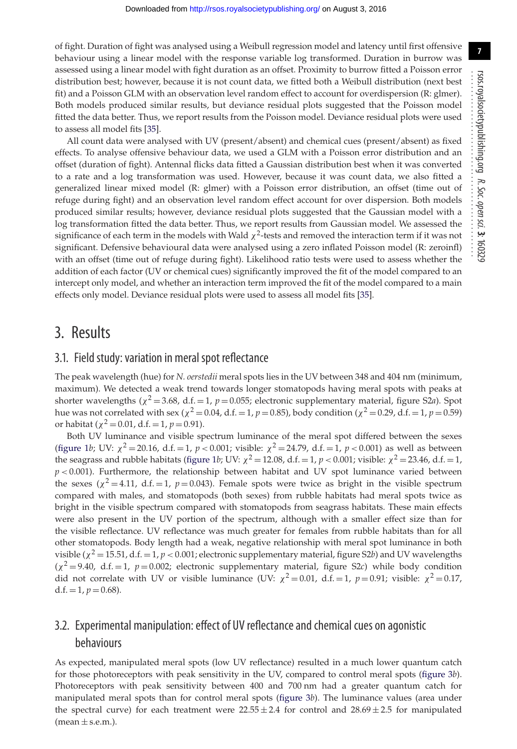of fight. Duration of fight was analysed using a Weibull regression model and latency until first offensive behaviour using a linear model with the response variable log transformed. Duration in burrow was assessed using a linear model with fight duration as an offset. Proximity to burrow fitted a Poisson error distribution best; however, because it is not count data, we fitted both a Weibull distribution (next best fit) and a Poisson GLM with an observation level random effect to account for overdispersion (R: glmer). Both models produced similar results, but deviance residual plots suggested that the Poisson model fitted the data better. Thus, we report results from the Poisson model. Deviance residual plots were used to assess all model fits [\[35\]](#page-12-14).

All count data were analysed with UV (present/absent) and chemical cues (present/absent) as fixed effects. To analyse offensive behaviour data, we used a GLM with a Poisson error distribution and an offset (duration of fight). Antennal flicks data fitted a Gaussian distribution best when it was converted to a rate and a log transformation was used. However, because it was count data, we also fitted a generalized linear mixed model (R: glmer) with a Poisson error distribution, an offset (time out of refuge during fight) and an observation level random effect account for over dispersion. Both models produced similar results; however, deviance residual plots suggested that the Gaussian model with a log transformation fitted the data better. Thus, we report results from Gaussian model. We assessed the significance of each term in the models with Wald  $\chi^2$ -tests and removed the interaction term if it was not significant. Defensive behavioural data were analysed using a zero inflated Poisson model (R: zeroinfl) with an offset (time out of refuge during fight). Likelihood ratio tests were used to assess whether the addition of each factor (UV or chemical cues) significantly improved the fit of the model compared to an intercept only model, and whether an interaction term improved the fit of the model compared to a main effects only model. Deviance residual plots were used to assess all model fits [\[35\]](#page-12-14).

### 3. Results

#### 3.1. Field study: variation in meral spot reflectance

The peak wavelength (hue) for *N. oerstedii* meral spots lies in the UV between 348 and 404 nm (minimum, maximum). We detected a weak trend towards longer stomatopods having meral spots with peaks at shorter wavelengths ( $\chi^2$  = 3.68, d.f. = 1,  $p$  = 0.055; electronic supplementary material, figure S2*a*). Spot hue was not correlated with sex ( $\chi^2 = 0.04$ , d.f. = 1,  $p = 0.85$ ), body condition ( $\chi^2 = 0.29$ , d.f. = 1,  $p = 0.59$ ) or habitat ( $\chi^2$  = 0.01, d.f. = 1,  $p$  = 0.91).

Both UV luminance and visible spectrum luminance of the meral spot differed between the sexes [\(figure 1](#page-3-0)*b*; UV:  $\chi^2$  = 20.16, d.f. = 1, *p* < 0.001; visible:  $\chi^2$  = 24.79, d.f. = 1, *p* < 0.001) as well as between the seagrass and rubble habitats [\(figure 1](#page-3-0)*b*; UV:  $\chi^2 = 12.08$ , d.f. = 1,  $p < 0.001$ ; visible:  $\chi^2 = 23.46$ , d.f. = 1, *p* < 0.001). Furthermore, the relationship between habitat and UV spot luminance varied between the sexes ( $\chi^2$  = 4.11, d.f. = 1,  $p$  = 0.043). Female spots were twice as bright in the visible spectrum compared with males, and stomatopods (both sexes) from rubble habitats had meral spots twice as bright in the visible spectrum compared with stomatopods from seagrass habitats. These main effects were also present in the UV portion of the spectrum, although with a smaller effect size than for the visible reflectance. UV reflectance was much greater for females from rubble habitats than for all other stomatopods. Body length had a weak, negative relationship with meral spot luminance in both visible  $(\chi^2 = 15.51, d.f. = 1, p < 0.001$ ; electronic supplementary material, figure S2*b*) and UV wavelengths  $(x^2 = 9.40, d.f. = 1, p = 0.002$ ; electronic supplementary material, figure S2*c*) while body condition did not correlate with UV or visible luminance (UV:  $\chi^2 = 0.01$ , d.f. = 1,  $p = 0.91$ ; visible:  $\chi^2 = 0.17$ , d.f.  $= 1, p = 0.68$ ).

### 3.2. Experimental manipulation: effect of UV reflectance and chemical cues on agonistic behaviours

As expected, manipulated meral spots (low UV reflectance) resulted in a much lower quantum catch for those photoreceptors with peak sensitivity in the UV, compared to control meral spots [\(figure 3](#page-4-0)*b*). Photoreceptors with peak sensitivity between 400 and 700 nm had a greater quantum catch for manipulated meral spots than for control meral spots [\(figure 3](#page-4-0)*b*). The luminance values (area under the spectral curve) for each treatment were  $22.55 \pm 2.4$  for control and  $28.69 \pm 2.5$  for manipulated  $(mean \pm s.e.m.).$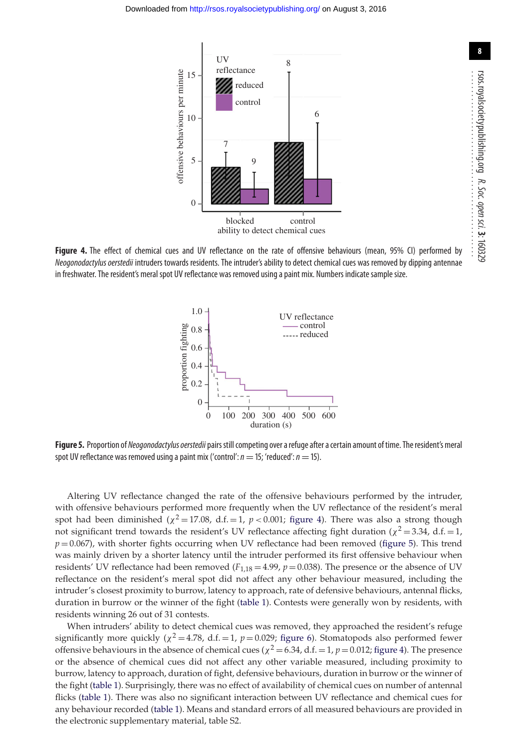

<span id="page-7-0"></span>**Figure 4.** The effect of chemical cues and UV reflectance on the rate of offensive behaviours (mean, 95% CI) performed by Neogonodactylus oerstedii intruders towards residents. The intruder's ability to detect chemical cues was removed by dipping antennae in freshwater. The resident's meral spot UV reflectance was removed using a paint mix. Numbers indicate sample size.



<span id="page-7-1"></span>Figure 5. Proportion of Neogonodactylus oerstedii pairs still competing over a refuge after a certain amount of time. The resident's meral spot UV reflectance was removed using a paint mix ('control':  $n = 15$ ; 'reduced':  $n = 15$ ).

Altering UV reflectance changed the rate of the offensive behaviours performed by the intruder, with offensive behaviours performed more frequently when the UV reflectance of the resident's meral spot had been diminished ( $\chi^2$  = 17.08, d.f. = 1,  $p$  < 0.001; [figure 4\)](#page-7-0). There was also a strong though not significant trend towards the resident's UV reflectance affecting fight duration ( $\chi^2$  = 3.34, d.f. = 1,  $p = 0.067$ ), with shorter fights occurring when UV reflectance had been removed [\(figure 5\)](#page-7-1). This trend was mainly driven by a shorter latency until the intruder performed its first offensive behaviour when residents' UV reflectance had been removed (*F*1,18 = 4.99, *p* = 0.038). The presence or the absence of UV reflectance on the resident's meral spot did not affect any other behaviour measured, including the intruder's closest proximity to burrow, latency to approach, rate of defensive behaviours, antennal flicks, duration in burrow or the winner of the fight [\(table 1\)](#page-8-0). Contests were generally won by residents, with residents winning 26 out of 31 contests.

When intruders' ability to detect chemical cues was removed, they approached the resident's refuge significantly more quickly ( $\chi^2$  = 4.78, d.f. = 1,  $p$  = 0.029; [figure 6\)](#page-9-0). Stomatopods also performed fewer offensive behaviours in the absence of chemical cues ( $\chi^2$  = 6.34, d.f. = 1, *p* = 0.012; [figure 4\)](#page-7-0). The presence or the absence of chemical cues did not affect any other variable measured, including proximity to burrow, latency to approach, duration of fight, defensive behaviours, duration in burrow or the winner of the fight [\(table 1\)](#page-8-0). Surprisingly, there was no effect of availability of chemical cues on number of antennal flicks [\(table 1\)](#page-8-0). There was also no significant interaction between UV reflectance and chemical cues for any behaviour recorded [\(table 1\)](#page-8-0). Means and standard errors of all measured behaviours are provided in the electronic supplementary material, table S2.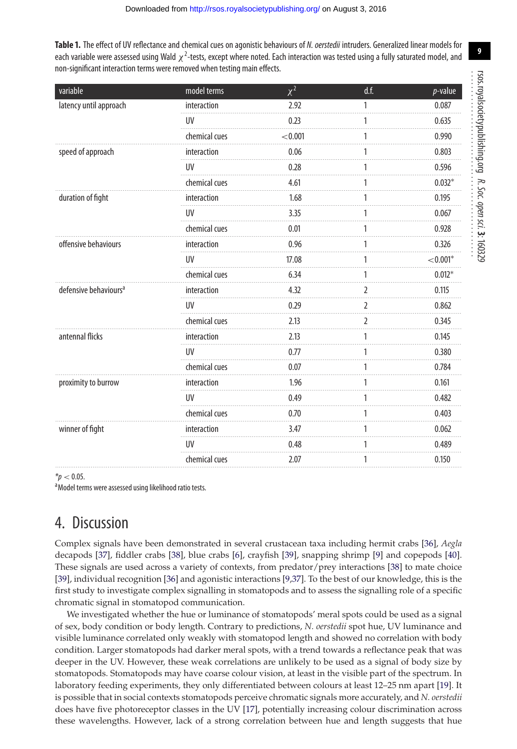<span id="page-8-0"></span>**Table 1.** The effect of UV reflectance and chemical cues on agonistic behaviours of N. oerstedii intruders. Generalized linear models for each variable were assessed using Wald  $\chi^2$ -tests, except where noted. Each interaction was tested using a fully saturated model, and non-significant interaction terms were removed when testing main effects.

| variable                          | model terms   | $\chi^2$ | df. | $\overline{p}$ -value |
|-----------------------------------|---------------|----------|-----|-----------------------|
| latency until approach            | interaction   | 2.92     | 1   | 0.087                 |
|                                   | UV            | 0.23     |     | 0.635                 |
|                                   | chemical cues | < 0.001  |     | 0.990                 |
| speed of approach                 | interaction   | 0.06     |     | 0.803                 |
|                                   | <b>UV</b>     | 0.28     |     | 0.596                 |
|                                   | chemical cues | 4.61     |     | $0.032*$              |
| duration of fight                 | interaction   | 1.68     |     | 0.195                 |
|                                   | <b>UV</b>     | 3.35     |     | 0.067                 |
|                                   | chemical cues | 0.01     |     | 0.928                 |
| offensive behaviours              | interaction   | 0.96     |     | 0.326                 |
|                                   | UV            | 17.08    |     | $< 0.001*$            |
|                                   | chemical cues | 6.34     |     | $0.012*$              |
| defensive behaviours <sup>a</sup> | interaction   | 4.32     | 2   | 0.115                 |
|                                   | UV            | 0.29     | 7   | 0.862                 |
|                                   | chemical cues | 2.13     | 2   | 0.345                 |
| antennal flicks                   | interaction   | 2.13     |     | 0.145                 |
|                                   | UV            | 0.77     |     | 0.380                 |
|                                   | chemical cues | 0.07     |     | 0.784                 |
| proximity to burrow               | interaction   | 1.96     |     | 0.161                 |
|                                   | UV            | 0.49     |     | 0.482                 |
|                                   | chemical cues | 0.70     |     | 0.403                 |
| winner of fight                   | interaction   | 3.47     |     | 0.062                 |
|                                   | UV            | 0.48     |     | 0.489                 |
|                                   | chemical cues | 2.07     |     | 0.150                 |

 $*_{p}$  < 0.05.

<sup>a</sup> Model terms were assessed using likelihood ratio tests.

### 4. Discussion

Complex signals have been demonstrated in several crustacean taxa including hermit crabs [\[36\]](#page-12-15), *Aegla* decapods [\[37\]](#page-12-16), fiddler crabs [\[38\]](#page-12-17), blue crabs [\[6\]](#page-11-18), crayfish [\[39\]](#page-12-18), snapping shrimp [\[9\]](#page-11-19) and copepods [\[40\]](#page-12-19). These signals are used across a variety of contexts, from predator/prey interactions [\[38\]](#page-12-17) to mate choice [\[39\]](#page-12-18), individual recognition [\[36\]](#page-12-15) and agonistic interactions [\[9,](#page-11-19)[37\]](#page-12-16). To the best of our knowledge, this is the first study to investigate complex signalling in stomatopods and to assess the signalling role of a specific chromatic signal in stomatopod communication.

We investigated whether the hue or luminance of stomatopods' meral spots could be used as a signal of sex, body condition or body length. Contrary to predictions, *N. oerstedii* spot hue, UV luminance and visible luminance correlated only weakly with stomatopod length and showed no correlation with body condition. Larger stomatopods had darker meral spots, with a trend towards a reflectance peak that was deeper in the UV. However, these weak correlations are unlikely to be used as a signal of body size by stomatopods. Stomatopods may have coarse colour vision, at least in the visible part of the spectrum. In laboratory feeding experiments, they only differentiated between colours at least 12–25 nm apart [\[19\]](#page-11-16). It is possible that in social contexts stomatopods perceive chromatic signals more accurately, and *N. oerstedii* does have five photoreceptor classes in the UV [\[17\]](#page-11-14), potentially increasing colour discrimination across these wavelengths. However, lack of a strong correlation between hue and length suggests that hue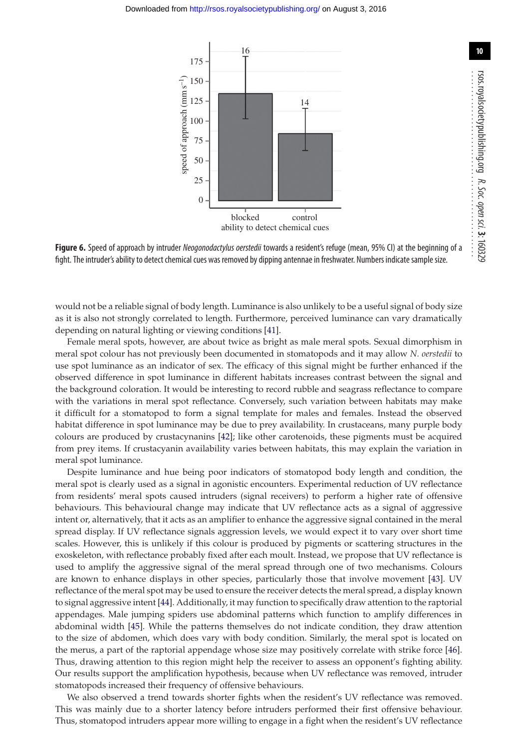

<span id="page-9-0"></span>**Figure 6.** Speed of approach by intruder Neogonodactylus oerstedii towards a resident's refuge (mean, 95% CI) at the beginning of a fight. The intruder's ability to detect chemical cues was removed by dipping antennae in freshwater. Numbers indicate sample size.

would not be a reliable signal of body length. Luminance is also unlikely to be a useful signal of body size as it is also not strongly correlated to length. Furthermore, perceived luminance can vary dramatically depending on natural lighting or viewing conditions [\[41\]](#page-12-20).

Female meral spots, however, are about twice as bright as male meral spots. Sexual dimorphism in meral spot colour has not previously been documented in stomatopods and it may allow *N. oerstedii* to use spot luminance as an indicator of sex. The efficacy of this signal might be further enhanced if the observed difference in spot luminance in different habitats increases contrast between the signal and the background coloration. It would be interesting to record rubble and seagrass reflectance to compare with the variations in meral spot reflectance. Conversely, such variation between habitats may make it difficult for a stomatopod to form a signal template for males and females. Instead the observed habitat difference in spot luminance may be due to prey availability. In crustaceans, many purple body colours are produced by crustacynanins [\[42\]](#page-12-21); like other carotenoids, these pigments must be acquired from prey items. If crustacyanin availability varies between habitats, this may explain the variation in meral spot luminance.

Despite luminance and hue being poor indicators of stomatopod body length and condition, the meral spot is clearly used as a signal in agonistic encounters. Experimental reduction of UV reflectance from residents' meral spots caused intruders (signal receivers) to perform a higher rate of offensive behaviours. This behavioural change may indicate that UV reflectance acts as a signal of aggressive intent or, alternatively, that it acts as an amplifier to enhance the aggressive signal contained in the meral spread display. If UV reflectance signals aggression levels, we would expect it to vary over short time scales. However, this is unlikely if this colour is produced by pigments or scattering structures in the exoskeleton, with reflectance probably fixed after each moult. Instead, we propose that UV reflectance is used to amplify the aggressive signal of the meral spread through one of two mechanisms. Colours are known to enhance displays in other species, particularly those that involve movement [\[43\]](#page-12-22). UV reflectance of the meral spot may be used to ensure the receiver detects the meral spread, a display known to signal aggressive intent [\[44\]](#page-12-23). Additionally, it may function to specifically draw attention to the raptorial appendages. Male jumping spiders use abdominal patterns which function to amplify differences in abdominal width [\[45\]](#page-12-24). While the patterns themselves do not indicate condition, they draw attention to the size of abdomen, which does vary with body condition. Similarly, the meral spot is located on the merus, a part of the raptorial appendage whose size may positively correlate with strike force [\[46\]](#page-12-25). Thus, drawing attention to this region might help the receiver to assess an opponent's fighting ability. Our results support the amplification hypothesis, because when UV reflectance was removed, intruder stomatopods increased their frequency of offensive behaviours.

We also observed a trend towards shorter fights when the resident's UV reflectance was removed. This was mainly due to a shorter latency before intruders performed their first offensive behaviour. Thus, stomatopod intruders appear more willing to engage in a fight when the resident's UV reflectance **10**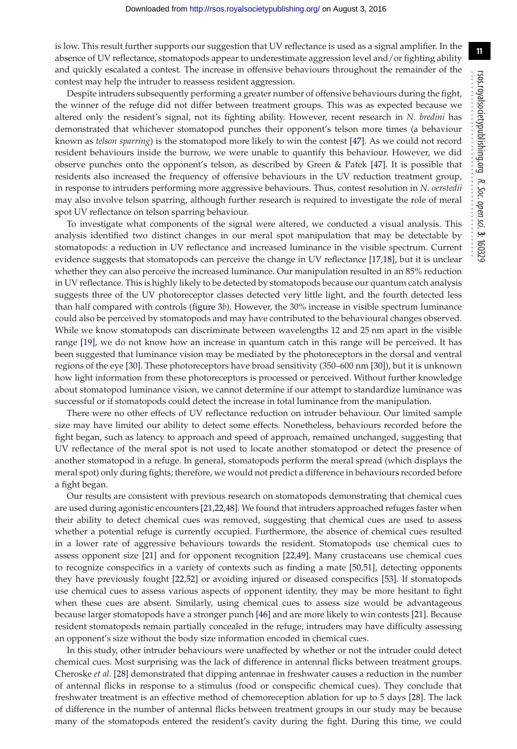is low. This result further supports our suggestion that UV reflectance is used as a signal amplifier. In the absence of UV reflectance, stomatopods appear to underestimate aggression level and/or fighting ability and quickly escalated a contest. The increase in offensive behaviours throughout the remainder of the contest may help the intruder to reassess resident aggression.

Despite intruders subsequently performing a greater number of offensive behaviours during the fight, the winner of the refuge did not differ between treatment groups. This was as expected because we altered only the resident's signal, not its fighting ability. However, recent research in *N. bredini* has demonstrated that whichever stomatopod punches their opponent's telson more times (a behaviour known as *telson sparring*) is the stomatopod more likely to win the contest [\[47\]](#page-12-26). As we could not record resident behaviours inside the burrow, we were unable to quantify this behaviour. However, we did observe punches onto the opponent's telson, as described by Green & Patek [\[47\]](#page-12-26). It is possible that residents also increased the frequency of offensive behaviours in the UV reduction treatment group, in response to intruders performing more aggressive behaviours. Thus, contest resolution in *N. oerstedii* may also involve telson sparring, although further research is required to investigate the role of meral spot UV reflectance on telson sparring behaviour.

To investigate what components of the signal were altered, we conducted a visual analysis. This analysis identified two distinct changes in our meral spot manipulation that may be detectable by stomatopods: a reduction in UV reflectance and increased luminance in the visible spectrum. Current evidence suggests that stomatopods can perceive the change in UV reflectance [\[17,](#page-11-14)[18\]](#page-11-15), but it is unclear whether they can also perceive the increased luminance. Our manipulation resulted in an 85% reduction in UV reflectance. This is highly likely to be detected by stomatopods because our quantum catch analysis suggests three of the UV photoreceptor classes detected very little light, and the fourth detected less than half compared with controls [\(figure 3](#page-4-0)*b*). However, the 30% increase in visible spectrum luminance could also be perceived by stomatopods and may have contributed to the behavioural changes observed. While we know stomatopods can discriminate between wavelengths 12 and 25 nm apart in the visible range [\[19\]](#page-11-16), we do not know how an increase in quantum catch in this range will be perceived. It has been suggested that luminance vision may be mediated by the photoreceptors in the dorsal and ventral regions of the eye [\[30\]](#page-12-9). These photoreceptors have broad sensitivity (350–600 nm [\[30\]](#page-12-9)), but it is unknown how light information from these photoreceptors is processed or perceived. Without further knowledge about stomatopod luminance vision, we cannot determine if our attempt to standardize luminance was successful or if stomatopods could detect the increase in total luminance from the manipulation.

There were no other effects of UV reflectance reduction on intruder behaviour. Our limited sample size may have limited our ability to detect some effects. Nonetheless, behaviours recorded before the fight began, such as latency to approach and speed of approach, remained unchanged, suggesting that UV reflectance of the meral spot is not used to locate another stomatopod or detect the presence of another stomatopod in a refuge. In general, stomatopods perform the meral spread (which displays the meral spot) only during fights; therefore, we would not predict a difference in behaviours recorded before a fight began.

Our results are consistent with previous research on stomatopods demonstrating that chemical cues are used during agonistic encounters [\[21,](#page-12-0)[22,](#page-12-1)[48\]](#page-12-27). We found that intruders approached refuges faster when their ability to detect chemical cues was removed, suggesting that chemical cues are used to assess whether a potential refuge is currently occupied. Furthermore, the absence of chemical cues resulted in a lower rate of aggressive behaviours towards the resident. Stomatopods use chemical cues to assess opponent size [\[21\]](#page-12-0) and for opponent recognition [\[22,](#page-12-1)[49\]](#page-12-28). Many crustaceans use chemical cues to recognize conspecifics in a variety of contexts such as finding a mate [\[50,](#page-12-29)[51\]](#page-12-30), detecting opponents they have previously fought [\[22](#page-12-1)[,52\]](#page-12-31) or avoiding injured or diseased conspecifics [\[53\]](#page-12-32). If stomatopods use chemical cues to assess various aspects of opponent identity, they may be more hesitant to fight when these cues are absent. Similarly, using chemical cues to assess size would be advantageous because larger stomatopods have a stronger punch [\[46\]](#page-12-25) and are more likely to win contests [\[21\]](#page-12-0). Because resident stomatopods remain partially concealed in the refuge, intruders may have difficulty assessing an opponent's size without the body size information encoded in chemical cues.

In this study, other intruder behaviours were unaffected by whether or not the intruder could detect chemical cues. Most surprising was the lack of difference in antennal flicks between treatment groups. Cheroske *et al*. [\[28\]](#page-12-7) demonstrated that dipping antennae in freshwater causes a reduction in the number of antennal flicks in response to a stimulus (food or conspecific chemical cues). They conclude that freshwater treatment is an effective method of chemoreception ablation for up to 5 days [\[28\]](#page-12-7). The lack of difference in the number of antennal flicks between treatment groups in our study may be because many of the stomatopods entered the resident's cavity during the fight. During this time, we could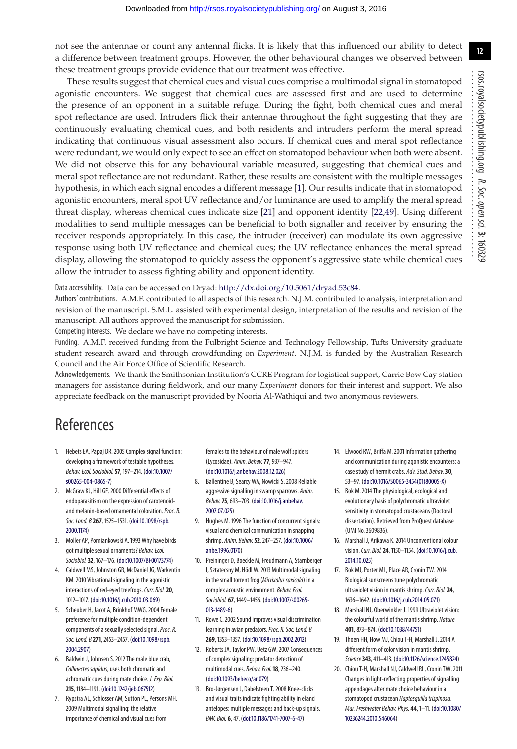**12**

not see the antennae or count any antennal flicks. It is likely that this influenced our ability to detect a difference between treatment groups. However, the other behavioural changes we observed between these treatment groups provide evidence that our treatment was effective.

These results suggest that chemical cues and visual cues comprise a multimodal signal in stomatopod agonistic encounters. We suggest that chemical cues are assessed first and are used to determine the presence of an opponent in a suitable refuge. During the fight, both chemical cues and meral spot reflectance are used. Intruders flick their antennae throughout the fight suggesting that they are continuously evaluating chemical cues, and both residents and intruders perform the meral spread indicating that continuous visual assessment also occurs. If chemical cues and meral spot reflectance were redundant, we would only expect to see an effect on stomatopod behaviour when both were absent. We did not observe this for any behavioural variable measured, suggesting that chemical cues and meral spot reflectance are not redundant. Rather, these results are consistent with the multiple messages hypothesis, in which each signal encodes a different message [\[1\]](#page-11-0). Our results indicate that in stomatopod agonistic encounters, meral spot UV reflectance and/or luminance are used to amplify the meral spread threat display, whereas chemical cues indicate size [\[21\]](#page-12-0) and opponent identity [\[22,](#page-12-1)[49\]](#page-12-28). Using different modalities to send multiple messages can be beneficial to both signaller and receiver by ensuring the receiver responds appropriately. In this case, the intruder (receiver) can modulate its own aggressive response using both UV reflectance and chemical cues; the UV reflectance enhances the meral spread display, allowing the stomatopod to quickly assess the opponent's aggressive state while chemical cues allow the intruder to assess fighting ability and opponent identity.

Data accessibility. Data can be accessed on Dryad: [http://dx.doi.org/10.5061/dryad.53c84.](http://dx.doi.org/10.5061/dryad.53c84)

Authors' contributions. A.M.F. contributed to all aspects of this research. N.J.M. contributed to analysis, interpretation and revision of the manuscript. S.M.L. assisted with experimental design, interpretation of the results and revision of the manuscript. All authors approved the manuscript for submission.

Competing interests. We declare we have no competing interests.

Funding. A.M.F. received funding from the Fulbright Science and Technology Fellowship, Tufts University graduate student research award and through crowdfunding on *Experiment*. N.J.M. is funded by the Australian Research Council and the Air Force Office of Scientific Research.

Acknowledgements. We thank the Smithsonian Institution's CCRE Program for logistical support, Carrie Bow Cay station managers for assistance during fieldwork, and our many *Experiment* donors for their interest and support. We also appreciate feedback on the manuscript provided by Nooria Al-Wathiqui and two anonymous reviewers.

### References

- <span id="page-11-0"></span>1. Hebets EA, Papaj DR. 2005 Complex signal function: developing a framework of testable hypotheses. Behav. Ecol. Sociobiol.**57**, 197–214. [\(doi:10.1007/](http://dx.doi.org/10.1007/s00265-004-0865-7) [s00265-004-0865-7\)](http://dx.doi.org/10.1007/s00265-004-0865-7)
- <span id="page-11-1"></span>2. McGraw KJ, Hill GE. 2000 Differential effects of endoparasitism on the expression of carotenoidand melanin-based ornamental coloration. Proc. R. Soc. Lond. B **267**, 1525–1531. [\(doi:10.1098/rspb.](http://dx.doi.org/10.1098/rspb.2000.1174) [2000.1174\)](http://dx.doi.org/10.1098/rspb.2000.1174)
- <span id="page-11-2"></span>3. Moller AP, Pomiankowski A. 1993 Why have birds got multiple sexual ornaments? Behav. Ecol. Sociobiol.**32**, 167–176. [\(doi:10.1007/BF00173774\)](http://dx.doi.org/10.1007/BF00173774)
- <span id="page-11-3"></span>4. Caldwell MS, Johnston GR, McDaniel JG, Warkentin KM. 2010 Vibrational signaling in the agonistic interactions of red-eyed treefrogs.Curr. Biol.**20**, 1012–1017. [\(doi:10.1016/j.cub.2010.03.069\)](http://dx.doi.org/10.1016/j.cub.2010.03.069)
- <span id="page-11-4"></span>5. Scheuber H, Jacot A, Brinkhof MWG. 2004 Female preference for multiple condition-dependent components of a sexually selected signal. Proc. R. Soc. Lond. B **271**, 2453–2457. [\(doi:10.1098/rspb.](http://dx.doi.org/10.1098/rspb.2004.2907) [2004.2907\)](http://dx.doi.org/10.1098/rspb.2004.2907)
- <span id="page-11-18"></span>6. Baldwin J, Johnsen S. 2012 The male blue crab, Callinectes sapidus, uses both chromatic and achromatic cues during mate choice. J. Exp. Biol. **215**, 1184–1191. [\(doi:10.1242/jeb.067512\)](http://dx.doi.org/10.1242/jeb.067512)
- <span id="page-11-5"></span>7. Rypstra AL, Schlosser AM, Sutton PL, Persons MH. 2009 Multimodal signalling: the relative importance of chemical and visual cues from

females to the behaviour of male wolf spiders (Lycosidae). Anim. Behav.**77**, 937–947. [\(doi:10.1016/j.anbehav.2008.12.026\)](http://dx.doi.org/10.1016/j.anbehav.2008.12.026)

- <span id="page-11-6"></span>8. Ballentine B, Searcy WA, Nowicki S. 2008 Reliable aggressive signalling in swamp sparrows. Anim. Behav.**75**, 693–703. [\(doi:10.1016/j.anbehav.](http://dx.doi.org/10.1016/j.anbehav.2007.07.025) [2007.07.025\)](http://dx.doi.org/10.1016/j.anbehav.2007.07.025)
- <span id="page-11-19"></span>9. Hughes M. 1996 The function of concurrent signals: visual and chemical communication in snapping shrimp. Anim. Behav.**52**, 247–257. [\(doi:10.1006/](http://dx.doi.org/10.1006/anbe.1996.0170) [anbe.1996.0170\)](http://dx.doi.org/10.1006/anbe.1996.0170)
- <span id="page-11-7"></span>10. Preininger D, Boeckle M, Freudmann A, Starnberger I, Sztatecsny M, Hödl W. 2013 Multimodal signaling in the small torrent frog (Micrixalus saxicola) in a complex acoustic environment. Behav. Ecol. Sociobiol. **67**, 1449–1456. [\(doi:10.1007/s00265-](http://dx.doi.org/10.1007/s00265-013-1489-6) [013-1489-6\)](http://dx.doi.org/10.1007/s00265-013-1489-6)
- <span id="page-11-8"></span>11. Rowe C. 2002 Sound improves visual discrimination learning in avian predators. Proc. R. Soc. Lond. B **269**, 1353–1357. [\(doi:10.1098/rspb.2002.2012\)](http://dx.doi.org/10.1098/rspb.2002.2012)
- <span id="page-11-9"></span>12. Roberts JA, Taylor PW, Uetz GW. 2007 Consequences of complex signaling: predator detection of multimodal cues. Behav. Ecol.**18**, 236–240. [\(doi:10.1093/beheco/arl079\)](http://dx.doi.org/10.1093/beheco/arl079)
- <span id="page-11-10"></span>13. Bro-Jørgensen J, Dabelsteen T. 2008 Knee-clicks and visual traits indicate fighting ability in eland antelopes: multiple messages and back-up signals. BMC Biol. **6**, 47. [\(doi:10.1186/1741-7007-6-47\)](http://dx.doi.org/10.1186/1741-7007-6-47)
- <span id="page-11-11"></span>14. Elwood RW, Briffa M. 2001 Information gathering and communication during agonistic encounters: a case study of hermit crabs. Adv. Stud. Behav.**30**, 53–97. [\(doi:10.1016/S0065-3454\(01\)80005-X\)](http://dx.doi.org/10.1016/S0065-3454(01)80005-X)
- <span id="page-11-12"></span>15. Bok M. 2014 The physiological, ecological and evolutionary basis of polychromatic ultraviolet sensitivity in stomatopod crustaceans (Doctoral dissertation). Retrieved from ProQuest database (UMI No. 3609836).
- <span id="page-11-13"></span>16. Marshall J, Arikawa K. 2014 Unconventional colour vision.Curr. Biol.**24**, 1150–1154. [\(doi:10.1016/j.cub.](http://dx.doi.org/10.1016/j.cub.2014.10.025) [2014.10.025\)](http://dx.doi.org/10.1016/j.cub.2014.10.025)
- <span id="page-11-14"></span>17. Bok MJ, Porter ML, Place AR, Cronin TW. 2014 Biological sunscreens tune polychromatic ultraviolet vision in mantis shrimp. Curr. Biol. 24, 1636–1642. [\(doi:10.1016/j.cub.2014.05.071\)](http://dx.doi.org/10.1016/j.cub.2014.05.071)
- <span id="page-11-15"></span>18. Marshall NJ, Oberwinkler J. 1999 Ultraviolet vision: the colourful world of the mantis shrimp. Nature **401**, 873–874. [\(doi:10.1038/44751\)](http://dx.doi.org/10.1038/44751)
- <span id="page-11-16"></span>19. Thoen HH, How MJ, Chiou T-H, Marshall J. 2014 A different form of color vision in mantis shrimp. Science**343**, 411–413. [\(doi:10.1126/science.1245824\)](http://dx.doi.org/10.1126/science.1245824)
- <span id="page-11-17"></span>20. Chiou T-H, Marshall NJ, Caldwell RL, Cronin TW. 2011 Changes in light-reflecting properties of signalling appendages alter mate choice behaviour in a stomatopod crustacean Haptosquilla trispinosa. Mar. Freshwater Behav. Phys. **44**, 1–11. [\(doi:10.1080/](http://dx.doi.org/10.1080/10236244.2010.546064) [10236244.2010.546064\)](http://dx.doi.org/10.1080/10236244.2010.546064)